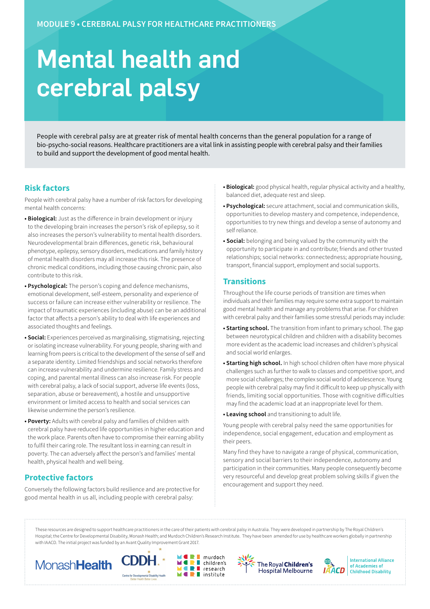# Mental health and cerebral palsy

People with cerebral palsy are at greater risk of mental health concerns than the general population for a range of bio-psycho-social reasons. Healthcare practitioners are a vital link in assisting people with cerebral palsy and their families to build and support the development of good mental health.

#### **Risk factors**

People with cerebral palsy have a number of risk factors for developing mental health concerns:

- **Biological:** Just as the difference in brain development or injury to the developing brain increases the person's risk of epilepsy, so it also increases the person's vulnerability to mental health disorders. Neurodevelopmental brain differences, genetic risk, behavioural phenotype, epilepsy, sensory disorders, medications and family history of mental health disorders may all increase this risk. The presence of chronic medical conditions, including those causing chronic pain, also contribute to this risk.
- **Psychological:** The person's coping and defence mechanisms, emotional development, self-esteem, personality and experience of success or failure can increase either vulnerability or resilience. The impact of traumatic experiences (including abuse) can be an additional factor that affects a person's ability to deal with life experiences and associated thoughts and feelings.
- **Social:** Experiences perceived as marginalising, stigmatising, rejecting or isolating increase vulnerability. For young people, sharing with and learning from peers is critical to the development of the sense of self and a separate identity. Limited friendships and social networks therefore can increase vulnerability and undermine resilience. Family stress and coping, and parental mental illness can also increase risk. For people with cerebral palsy, a lack of social support, adverse life events (loss, separation, abuse or bereavement), a hostile and unsupportive environment or limited access to health and social services can likewise undermine the person's resilience.
- **Poverty:** Adults with cerebral palsy and families of children with cerebral palsy have reduced life opportunities in higher education and the work place. Parents often have to compromise their earning ability to fulfil their caring role. The resultant loss in earning can result in poverty. The can adversely affect the person's and families' mental health, physical health and well being.

# **Protective factors**

Conversely the following factors build resilience and are protective for good mental health in us all, including people with cerebral palsy:

- **Biological:** good physical health, regular physical activity and a healthy, balanced diet, adequate rest and sleep.
- **Psychological:** secure attachment, social and communication skills, opportunities to develop mastery and competence, independence, opportunities to try new things and develop a sense of autonomy and self reliance.
- **Social:** belonging and being valued by the community with the opportunity to participate in and contribute; friends and other trusted relationships; social networks: connectedness; appropriate housing, transport, financial support, employment and social supports.

#### **Transitions**

Throughout the life course periods of transition are times when individuals and their families may require some extra support to maintain good mental health and manage any problems that arise. For children with cerebral palsy and their families some stressful periods may include:

- **Starting school.** The transition from infant to primary school. The gap between neurotypical children and children with a disability becomes more evident as the academic load increases and children's physical and social world enlarges.
- **Starting high school.** In high school children often have more physical challenges such as further to walk to classes and competitive sport, and more social challenges; the complex social world of adolescence. Young people with cerebral palsy may find it difficult to keep up physically with friends, limiting social opportunities. Those with cognitive difficulties may find the academic load at an inappropriate level for them.
- **Leaving school** and transitioning to adult life.

Young people with cerebral palsy need the same opportunities for independence, social engagement, education and employment as their peers.

Many find they have to navigate a range of physical, communication, sensory and social barriers to their independence, autonomy and participation in their communities. Many people consequently become very resourceful and develop great problem solving skills if given the encouragement and support they need.

These resources are designed to support healthcare practitioners in the care of their patients with cerebral palsy in Australia. They were developed in partnership by The Royal Children's Hospital; the Centre for Developmental Disability, Monash Health; and Murdoch Children's Research Institute. They have been amended for use by healthcare workers globally in partnership with IAACD. The initial project was funded by an Avant Quality Improvement Grant 2017.

murdoch

research

 $\blacksquare$  children's

 $\blacksquare$  institute

п

÷









**International Alliance** of Academies of **Childhood Disability**